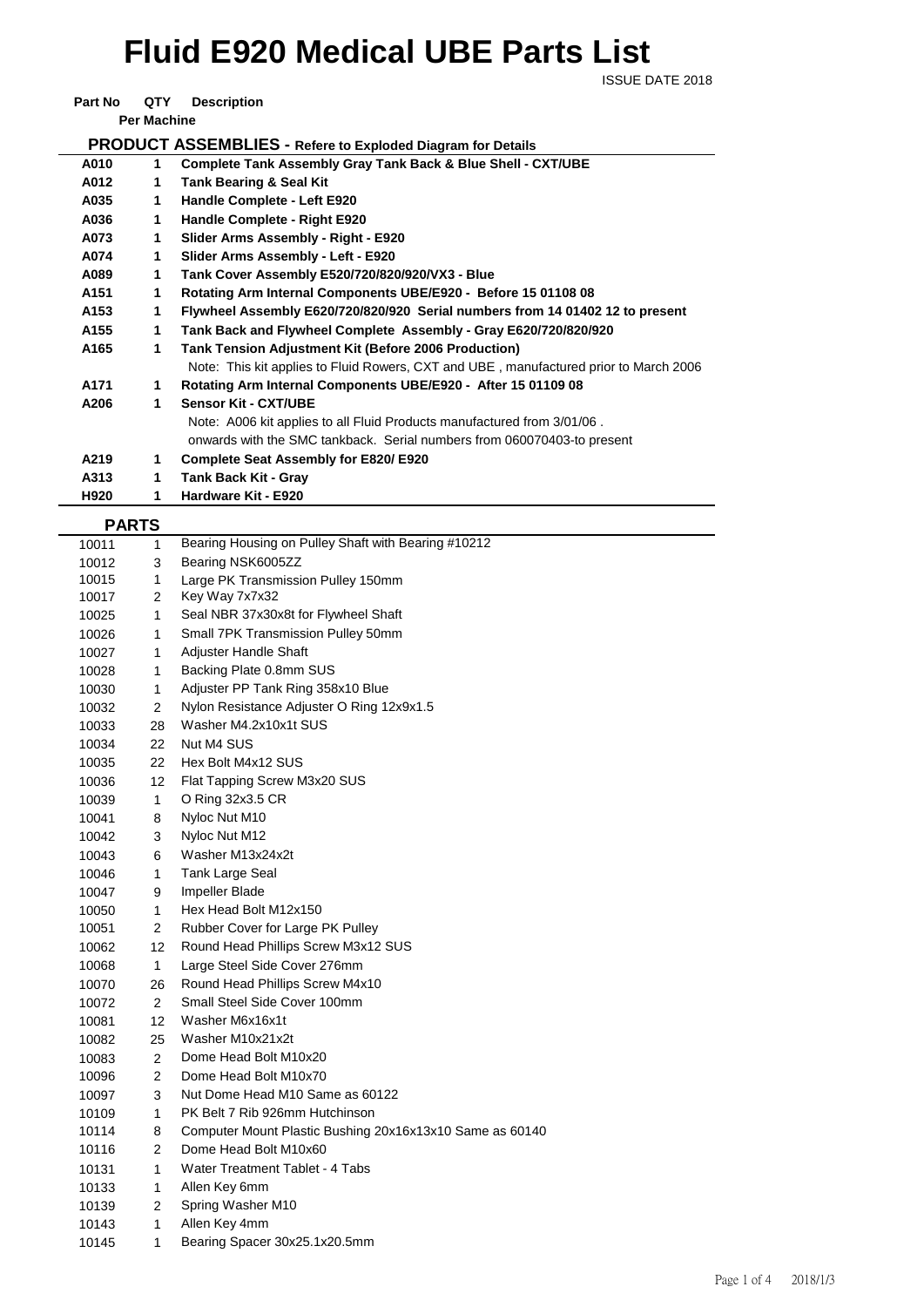## **Fluid E920 Medical UBE Parts List**

**ISSUE DATE 2018** 

**Part No QTY Description** 

**Per Machine**

| PRODUCT ASSEMBLIES - Refere to Exploded Diagram for Details |  |
|-------------------------------------------------------------|--|
|                                                             |  |

| A010             | 1 | Complete Tank Assembly Gray Tank Back & Blue Shell - CXT/UBE                          |
|------------------|---|---------------------------------------------------------------------------------------|
| A012             | 1 | <b>Tank Bearing &amp; Seal Kit</b>                                                    |
| A035             | 1 | Handle Complete - Left E920                                                           |
| A036             | 1 | Handle Complete - Right E920                                                          |
| A073             | 1 | Slider Arms Assembly - Right - E920                                                   |
| A074             | 1 | Slider Arms Assembly - Left - E920                                                    |
| A089             | 1 | Tank Cover Assembly E520/720/820/920/VX3 - Blue                                       |
| A <sub>151</sub> | 1 | Rotating Arm Internal Components UBE/E920 - Before 15 01108 08                        |
| A <sub>153</sub> | 1 | Flywheel Assembly E620/720/820/920 Serial numbers from 14 01402 12 to present         |
| A <sub>155</sub> | 1 | Tank Back and Flywheel Complete Assembly - Gray E620/720/820/920                      |
| A165             | 1 | <b>Tank Tension Adjustment Kit (Before 2006 Production)</b>                           |
|                  |   | Note: This kit applies to Fluid Rowers, CXT and UBE, manufactured prior to March 2006 |
| A171             | 1 | Rotating Arm Internal Components UBE/E920 - After 15 01109 08                         |
| A206             | 1 | <b>Sensor Kit - CXT/UBE</b>                                                           |
|                  |   | Note: A006 kit applies to all Fluid Products manufactured from 3/01/06.               |
|                  |   | onwards with the SMC tankback. Serial numbers from 060070403-to present               |
| A219             | 1 | <b>Complete Seat Assembly for E820/E920</b>                                           |
| A313             | 1 | Tank Back Kit - Gray                                                                  |
| H920             | 1 | Hardware Kit - E920                                                                   |

| <b>PARTS</b> |
|--------------|

| .     |                |                                                          |
|-------|----------------|----------------------------------------------------------|
| 10011 | $\mathbf{1}$   | Bearing Housing on Pulley Shaft with Bearing #10212      |
| 10012 | 3              | Bearing NSK6005ZZ                                        |
| 10015 | 1              | Large PK Transmission Pulley 150mm                       |
| 10017 | 2              | Key Way 7x7x32                                           |
| 10025 | 1              | Seal NBR 37x30x8t for Flywheel Shaft                     |
| 10026 | 1              | Small 7PK Transmission Pulley 50mm                       |
| 10027 | 1              | Adjuster Handle Shaft                                    |
| 10028 | 1              | Backing Plate 0.8mm SUS                                  |
| 10030 | 1              | Adjuster PP Tank Ring 358x10 Blue                        |
| 10032 | $\overline{2}$ | Nylon Resistance Adjuster O Ring 12x9x1.5                |
| 10033 | 28             | Washer M4.2x10x1t SUS                                    |
| 10034 | 22             | Nut M4 SUS                                               |
| 10035 | 22             | Hex Bolt M4x12 SUS                                       |
| 10036 | 12             | Flat Tapping Screw M3x20 SUS                             |
| 10039 | $\mathbf{1}$   | O Ring 32x3.5 CR                                         |
| 10041 | 8              | Nyloc Nut M10                                            |
| 10042 | 3              | Nyloc Nut M12                                            |
| 10043 | 6              | Washer M13x24x2t                                         |
| 10046 | 1              | Tank Large Seal                                          |
| 10047 | 9              | <b>Impeller Blade</b>                                    |
| 10050 | 1              | Hex Head Bolt M12x150                                    |
| 10051 | 2              | Rubber Cover for Large PK Pulley                         |
| 10062 | 12             | Round Head Phillips Screw M3x12 SUS                      |
| 10068 | 1              | Large Steel Side Cover 276mm                             |
| 10070 | 26             | Round Head Phillips Screw M4x10                          |
| 10072 | $\overline{2}$ | Small Steel Side Cover 100mm                             |
| 10081 | 12             | Washer M6x16x1t                                          |
| 10082 | 25             | Washer M10x21x2t                                         |
| 10083 | $\overline{2}$ | Dome Head Bolt M10x20                                    |
| 10096 | $\overline{2}$ | Dome Head Bolt M10x70                                    |
| 10097 | 3              | Nut Dome Head M10 Same as 60122                          |
| 10109 | 1              | PK Belt 7 Rib 926mm Hutchinson                           |
| 10114 | 8              | Computer Mount Plastic Bushing 20x16x13x10 Same as 60140 |
| 10116 | 2              | Dome Head Bolt M10x60                                    |
| 10131 | 1              | Water Treatment Tablet - 4 Tabs                          |
| 10133 | 1              | Allen Key 6mm                                            |
| 10139 | 2              | Spring Washer M10                                        |
| 10143 | 1              | Allen Key 4mm                                            |
| 10145 | $\mathbf{1}$   | Bearing Spacer 30x25.1x20.5mm                            |
|       |                |                                                          |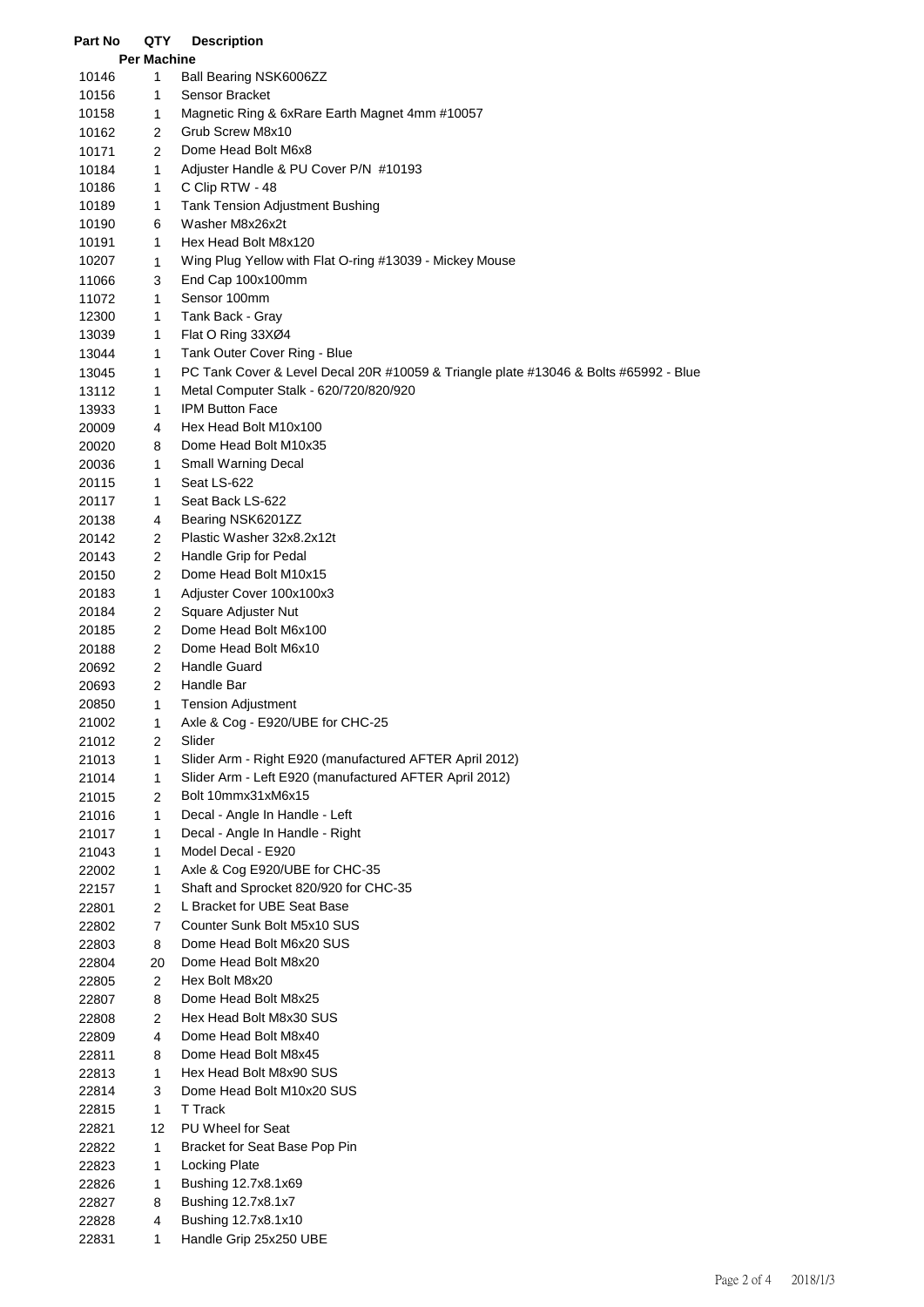| Part No        | QTY                 | <b>Description</b>                                                                   |
|----------------|---------------------|--------------------------------------------------------------------------------------|
|                | <b>Per Machine</b>  |                                                                                      |
| 10146          | $\mathbf{1}$        | Ball Bearing NSK6006ZZ                                                               |
| 10156          | 1                   | Sensor Bracket                                                                       |
| 10158          | 1                   | Magnetic Ring & 6xRare Earth Magnet 4mm #10057                                       |
| 10162          | 2                   | Grub Screw M8x10                                                                     |
| 10171          | 2                   | Dome Head Bolt M6x8                                                                  |
| 10184          | 1                   | Adjuster Handle & PU Cover P/N #10193                                                |
| 10186          | 1                   | C Clip RTW - 48                                                                      |
| 10189          | 1                   | <b>Tank Tension Adjustment Bushing</b>                                               |
| 10190          | 6                   | Washer M8x26x2t                                                                      |
| 10191          | 1                   | Hex Head Bolt M8x120                                                                 |
| 10207          | 1                   | Wing Plug Yellow with Flat O-ring #13039 - Mickey Mouse                              |
| 11066          | 3                   | End Cap 100x100mm                                                                    |
| 11072          | 1                   | Sensor 100mm                                                                         |
| 12300          | 1                   | Tank Back - Gray                                                                     |
| 13039          | 1                   | Flat O Ring 33XØ4                                                                    |
| 13044          | 1                   | Tank Outer Cover Ring - Blue                                                         |
| 13045          | 1                   | PC Tank Cover & Level Decal 20R #10059 & Triangle plate #13046 & Bolts #65992 - Blue |
| 13112          | 1                   | Metal Computer Stalk - 620/720/820/920                                               |
| 13933          | 1                   | IPM Button Face                                                                      |
| 20009          | 4                   | Hex Head Bolt M10x100                                                                |
| 20020          | 8                   | Dome Head Bolt M10x35                                                                |
| 20036          | 1                   | Small Warning Decal                                                                  |
| 20115          | 1                   | Seat LS-622                                                                          |
| 20117          | 1                   | Seat Back LS-622                                                                     |
| 20138          | 4                   | Bearing NSK6201ZZ                                                                    |
| 20142          | 2                   | Plastic Washer 32x8.2x12t                                                            |
| 20143          | $\overline{2}$      | Handle Grip for Pedal                                                                |
| 20150          | 2                   | Dome Head Bolt M10x15                                                                |
| 20183          | 1<br>$\overline{c}$ | Adjuster Cover 100x100x3                                                             |
| 20184          | $\mathbf{2}$        | Square Adjuster Nut<br>Dome Head Bolt M6x100                                         |
| 20185          |                     | Dome Head Bolt M6x10                                                                 |
| 20188          | 2                   | <b>Handle Guard</b>                                                                  |
| 20692          | 2<br>$\mathbf{2}$   | Handle Bar                                                                           |
| 20693<br>20850 | 1                   | <b>Tension Adjustment</b>                                                            |
| 21002          | 1                   | Axle & Cog - E920/UBE for CHC-25                                                     |
| 21012          | 2                   | Slider                                                                               |
| 21013          | 1                   | Slider Arm - Right E920 (manufactured AFTER April 2012)                              |
| 21014          | 1                   | Slider Arm - Left E920 (manufactured AFTER April 2012)                               |
| 21015          | $\overline{2}$      | Bolt 10mmx31xM6x15                                                                   |
| 21016          | 1                   | Decal - Angle In Handle - Left                                                       |
| 21017          | 1                   | Decal - Angle In Handle - Right                                                      |
| 21043          | 1                   | Model Decal - E920                                                                   |
| 22002          | 1                   | Axle & Cog E920/UBE for CHC-35                                                       |
| 22157          | 1                   | Shaft and Sprocket 820/920 for CHC-35                                                |
| 22801          | $\mathbf{2}$        | L Bracket for UBE Seat Base                                                          |
| 22802          | $\overline{7}$      | Counter Sunk Bolt M5x10 SUS                                                          |
| 22803          | 8                   | Dome Head Bolt M6x20 SUS                                                             |
| 22804          | 20                  | Dome Head Bolt M8x20                                                                 |
| 22805          | $\overline{2}$      | Hex Bolt M8x20                                                                       |
| 22807          | 8                   | Dome Head Bolt M8x25                                                                 |
| 22808          | 2                   | Hex Head Bolt M8x30 SUS                                                              |
| 22809          | 4                   | Dome Head Bolt M8x40                                                                 |
| 22811          | 8                   | Dome Head Bolt M8x45                                                                 |
| 22813          | 1                   | Hex Head Bolt M8x90 SUS                                                              |
| 22814          | 3                   | Dome Head Bolt M10x20 SUS                                                            |
| 22815          | $\mathbf{1}$        | T Track                                                                              |
| 22821          | 12                  | PU Wheel for Seat                                                                    |
| 22822          | 1                   | Bracket for Seat Base Pop Pin                                                        |
| 22823          | 1                   | <b>Locking Plate</b>                                                                 |
| 22826          | 1                   | Bushing 12.7x8.1x69                                                                  |
| 22827          | 8                   | Bushing 12.7x8.1x7                                                                   |
| 22828          | 4                   | Bushing 12.7x8.1x10                                                                  |
| 22831          | 1                   | Handle Grip 25x250 UBE                                                               |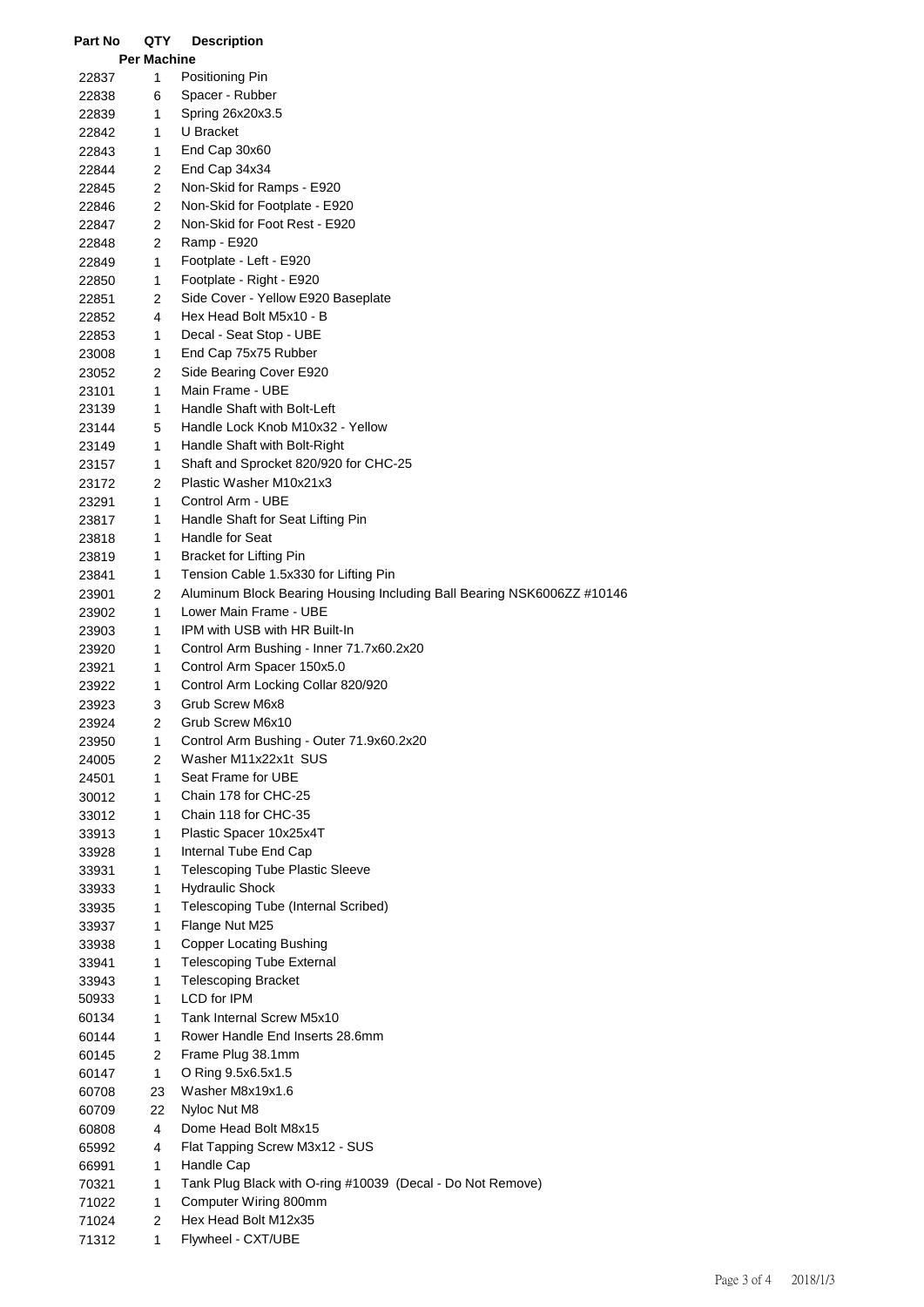| Part No | QTY                | <b>Description</b>                                                     |
|---------|--------------------|------------------------------------------------------------------------|
|         | <b>Per Machine</b> |                                                                        |
| 22837   | 1                  | Positioning Pin                                                        |
| 22838   | 6                  | Spacer - Rubber                                                        |
| 22839   | 1.                 | Spring 26x20x3.5                                                       |
| 22842   | 1.                 | U Bracket                                                              |
| 22843   | 1.                 | End Cap 30x60                                                          |
| 22844   | 2                  | End Cap 34x34                                                          |
| 22845   | 2                  | Non-Skid for Ramps - E920                                              |
| 22846   | 2                  | Non-Skid for Footplate - E920                                          |
| 22847   | $\overline{2}$     | Non-Skid for Foot Rest - E920                                          |
|         | $\overline{2}$     |                                                                        |
| 22848   |                    | Ramp - E920                                                            |
| 22849   | 1                  | Footplate - Left - E920                                                |
| 22850   | 1                  | Footplate - Right - E920                                               |
| 22851   | $\overline{2}$     | Side Cover - Yellow E920 Baseplate                                     |
| 22852   | 4                  | Hex Head Bolt M5x10 - B                                                |
| 22853   | 1                  | Decal - Seat Stop - UBE                                                |
| 23008   | 1                  | End Cap 75x75 Rubber                                                   |
| 23052   | 2                  | Side Bearing Cover E920                                                |
| 23101   | 1                  | Main Frame - UBE                                                       |
| 23139   | 1                  | Handle Shaft with Bolt-Left                                            |
| 23144   | 5                  | Handle Lock Knob M10x32 - Yellow                                       |
| 23149   | 1                  | Handle Shaft with Bolt-Right                                           |
| 23157   | 1                  | Shaft and Sprocket 820/920 for CHC-25                                  |
| 23172   | $\overline{2}$     | Plastic Washer M10x21x3                                                |
| 23291   | 1                  | Control Arm - UBE                                                      |
| 23817   | 1                  | Handle Shaft for Seat Lifting Pin                                      |
| 23818   | 1                  | Handle for Seat                                                        |
| 23819   | 1                  | Bracket for Lifting Pin                                                |
| 23841   | 1                  | Tension Cable 1.5x330 for Lifting Pin                                  |
|         | 2                  | Aluminum Block Bearing Housing Including Ball Bearing NSK6006ZZ #10146 |
| 23901   |                    | Lower Main Frame - UBE                                                 |
| 23902   | 1                  |                                                                        |
| 23903   | 1                  | IPM with USB with HR Built-In                                          |
| 23920   | 1                  | Control Arm Bushing - Inner 71.7x60.2x20                               |
| 23921   | 1                  | Control Arm Spacer 150x5.0                                             |
| 23922   | 1                  | Control Arm Locking Collar 820/920                                     |
| 23923   | 3                  | Grub Screw M6x8                                                        |
| 23924   | 2                  | Grub Screw M6x10                                                       |
| 23950   | 1                  | Control Arm Bushing - Outer 71.9x60.2x20                               |
| 24005   | $\overline{2}$     | Washer M11x22x1t SUS                                                   |
| 24501   | 1                  | Seat Frame for UBE                                                     |
| 30012   | 1                  | Chain 178 for CHC-25                                                   |
| 33012   | 1                  | Chain 118 for CHC-35                                                   |
| 33913   | 1                  | Plastic Spacer 10x25x4T                                                |
| 33928   | 1                  | Internal Tube End Cap                                                  |
| 33931   | 1                  | <b>Telescoping Tube Plastic Sleeve</b>                                 |
| 33933   | 1                  | <b>Hydraulic Shock</b>                                                 |
| 33935   | 1                  | Telescoping Tube (Internal Scribed)                                    |
| 33937   | 1                  | Flange Nut M25                                                         |
| 33938   | 1                  | <b>Copper Locating Bushing</b>                                         |
| 33941   | 1                  | <b>Telescoping Tube External</b>                                       |
| 33943   | 1                  | <b>Telescoping Bracket</b>                                             |
| 50933   | 1                  | LCD for IPM                                                            |
| 60134   | 1                  | Tank Internal Screw M5x10                                              |
|         | 1                  | Rower Handle End Inserts 28.6mm                                        |
| 60144   |                    |                                                                        |
| 60145   | $\overline{2}$     | Frame Plug 38.1mm                                                      |
| 60147   | 1                  | O Ring 9.5x6.5x1.5                                                     |
| 60708   | 23                 | Washer M8x19x1.6                                                       |
| 60709   | 22                 | Nyloc Nut M8                                                           |
| 60808   | 4                  | Dome Head Bolt M8x15                                                   |
| 65992   | 4                  | Flat Tapping Screw M3x12 - SUS                                         |
| 66991   | 1                  | Handle Cap                                                             |
| 70321   | 1                  | Tank Plug Black with O-ring #10039 (Decal - Do Not Remove)             |
| 71022   | 1                  | Computer Wiring 800mm                                                  |
| 71024   | 2                  | Hex Head Bolt M12x35                                                   |
| 71312   | 1                  | Flywheel - CXT/UBE                                                     |